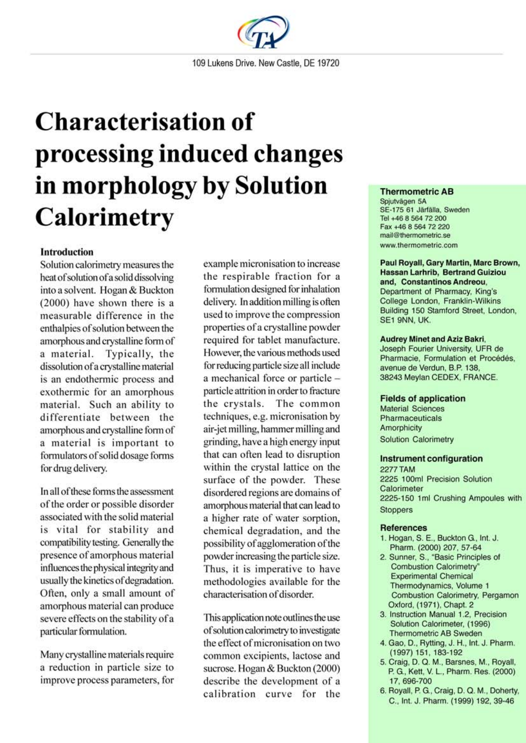

# **Characterisation of** processing induced changes in morphology by Solution **Calorimetry**

# **Introduction**

Solution calorimetry measures the heat of solution of a solid dissolving into a solvent. Hogan & Buckton (2000) have shown there is a measurable difference in the enthalpies of solution between the amorphous and crystalline form of a material. Typically, the dissolution of a crystalline material is an endothermic process and exothermic for an amorphous material. Such an ability to differentiate between the amorphous and crystalline form of a material is important to formulators of solid dosage forms for drug delivery.

In all of these forms the assessment of the order or possible disorder associated with the solid material is vital for stability and compatibility testing. Generally the presence of amorphous material influences the physical integrity and usually the kinetics of degradation. Often, only a small amount of amorphous material can produce severe effects on the stability of a particular formulation.

Many crystalline materials require a reduction in particle size to improve process parameters, for example micronisation to increase the respirable fraction for a formulation designed for inhalation delivery. In addition milling is often used to improve the compression properties of a crystalline powder required for tablet manufacture. However, the various methods used for reducing particle size all include a mechanical force or particle particle attrition in order to fracture the crystals. The common techniques, e.g. micronisation by air-jet milling, hammer milling and grinding, have a high energy input that can often lead to disruption within the crystal lattice on the surface of the powder. These disordered regions are domains of amorphous material that can lead to a higher rate of water sorption, chemical degradation, and the possibility of agglomeration of the powder increasing the particle size. Thus, it is imperative to have methodologies available for the characterisation of disorder.

This application note outlines the use of solution calorimetry to investigate the effect of micronisation on two common excipients, lactose and sucrose. Hogan & Buckton (2000) describe the development of a calibration curve for the

## **Thermometric AB**

Spiutvägen 5A SE-175 61 Järfälla, Sweden Tel +46 8 564 72 200 Fax +46 8 564 72 220 mail@thermometric.se www.thermometric.com

#### Paul Royall, Gary Martin, Marc Brown, **Hassan Larhrib, Bertrand Guiziou** and, Constantinos Andreou,

Department of Pharmacy, King's College London, Franklin-Wilkins Building 150 Stamford Street, London, SE1 9NN, UK.

#### **Audrey Minet and Aziz Bakri,**

Joseph Fourier University, UFR de Pharmacie, Formulation et Procédés, avenue de Verdun, B.P. 138, 38243 Meylan CEDEX, FRANCE.

### **Fields of application**

**Material Sciences** Pharmaceuticals Amorphicity **Solution Calorimetry** 

#### **Instrument configuration**

**2277 TAM** 2225 100ml Precision Solution Calorimeter 2225-150 1ml Crushing Ampoules with **Stoppers** 

## **References**

- 1. Hogan, S. E., Buckton G., Int. J. Pharm. (2000) 207, 57-64
- 2. Sunner, S., "Basic Principles of Combustion Calorimetry' **Experimental Chemical** Thermodynamics, Volume 1 Combustion Calorimetry, Pergamon Oxford, (1971), Chapt. 2
- 3. Instruction Manual 1.2, Precision Solution Calorimeter, (1996) **Thermometric AB Sweden**
- 4. Gao, D., Rytting, J. H., Int. J. Pharm. (1997) 151, 183-192
- 5. Craig, D. Q. M., Barsnes, M., Royall, P. G., Kett, V. L., Pharm. Res. (2000) 17, 696-700
- 6. Royall, P. G., Craig, D. Q. M., Doherty, C., Int. J. Pharm. (1999) 192, 39-46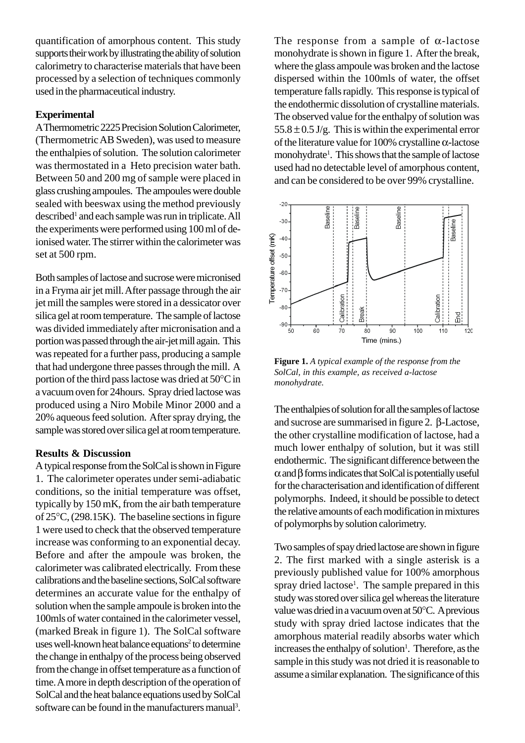quantification of amorphous content. This study supports their work by illustrating the ability of solution calorimetry to characterise materials that have been processed by a selection of techniques commonly used in the pharmaceutical industry.

# **Experimental**

A Thermometric 2225 Precision Solution Calorimeter, (Thermometric AB Sweden), was used to measure the enthalpies of solution. The solution calorimeter was thermostated in a Heto precision water bath. Between 50 and 200 mg of sample were placed in glass crushing ampoules. The ampoules were double sealed with beeswax using the method previously described<sup>1</sup> and each sample was run in triplicate. All the experiments were performed using 100 ml of deionised water. The stirrer within the calorimeter was set at 500 rpm.

Both samples of lactose and sucrose were micronised in a Fryma air jet mill. After passage through the air jet mill the samples were stored in a dessicator over silica gel at room temperature. The sample of lactose was divided immediately after micronisation and a portion was passed through the air-jet mill again. This was repeated for a further pass, producing a sample that had undergone three passes through the mill. A portion of the third pass lactose was dried at 50°C in a vacuum oven for 24hours. Spray dried lactose was produced using a Niro Mobile Minor 2000 and a 20% aqueous feed solution. After spray drying, the sample was stored over silica gel at room temperature.

## **Results & Discussion**

A typical response from the SolCal is shown in Figure 1. The calorimeter operates under semi-adiabatic conditions, so the initial temperature was offset, typically by 150 mK, from the air bath temperature of 25°C, (298.15K). The baseline sections in figure 1 were used to check that the observed temperature increase was conforming to an exponential decay. Before and after the ampoule was broken, the calorimeter was calibrated electrically. From these calibrations and the baseline sections, SolCal software determines an accurate value for the enthalpy of solution when the sample ampoule is broken into the 100mls of water contained in the calorimeter vessel, (marked Break in figure 1). The SolCal software uses well-known heat balance equations<sup>2</sup> to determine the change in enthalpy of the process being observed from the change in offset temperature as a function of time. A more in depth description of the operation of SolCal and the heat balance equations used by SolCal software can be found in the manufacturers manual<sup>3</sup>.

The response from a sample of  $\alpha$ -lactose monohydrate is shown in figure 1. After the break, where the glass ampoule was broken and the lactose dispersed within the 100mls of water, the offset temperature falls rapidly. This response is typical of the endothermic dissolution of crystalline materials. The observed value for the enthalpy of solution was  $55.8 \pm 0.5$  J/g. This is within the experimental error of the literature value for 100% crystalline α-lactose monohydrate<sup>1</sup>. This shows that the sample of lactose used had no detectable level of amorphous content, and can be considered to be over 99% crystalline.



**Figure 1.** *A typical example of the response from the SolCal, in this example, as received a-lactose monohydrate.*

The enthalpies of solution for all the samples of lactose and sucrose are summarised in figure 2. β-Lactose, the other crystalline modification of lactose, had a much lower enthalpy of solution, but it was still endothermic. The significant difference between the α and β forms indicates that SolCal is potentially useful for the characterisation and identification of different polymorphs. Indeed, it should be possible to detect the relative amounts of each modification in mixtures of polymorphs by solution calorimetry.

Two samples of spay dried lactose are shown in figure 2. The first marked with a single asterisk is a previously published value for 100% amorphous spray dried lactose<sup>1</sup>. The sample prepared in this study was stored over silica gel whereas the literature value was dried in a vacuum oven at 50°C. A previous study with spray dried lactose indicates that the amorphous material readily absorbs water which increases the enthalpy of solution<sup>1</sup>. Therefore, as the sample in this study was not dried it is reasonable to assume a similar explanation. The significance of this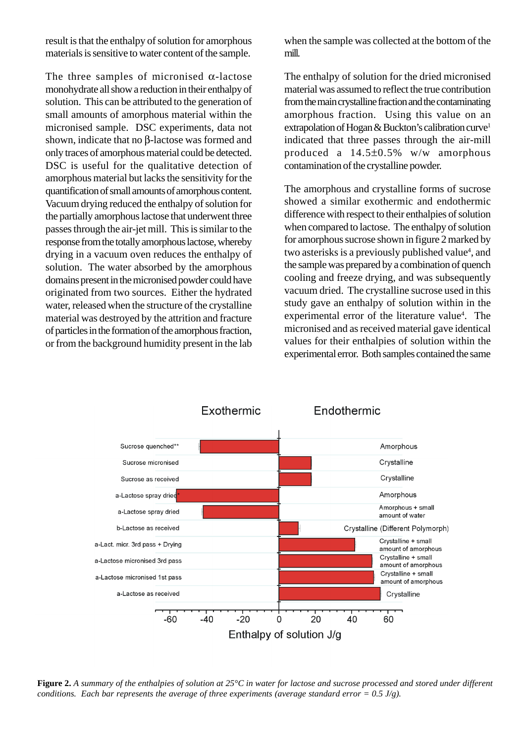result is that the enthalpy of solution for amorphous materials is sensitive to water content of the sample.

The three samples of micronised  $\alpha$ -lactose monohydrate all show a reduction in their enthalpy of solution. This can be attributed to the generation of small amounts of amorphous material within the micronised sample. DSC experiments, data not shown, indicate that no β-lactose was formed and only traces of amorphous material could be detected. DSC is useful for the qualitative detection of amorphous material but lacks the sensitivity for the quantification of small amounts of amorphous content. Vacuum drying reduced the enthalpy of solution for the partially amorphous lactose that underwent three passes through the air-jet mill. This is similar to the response from the totally amorphous lactose, whereby drying in a vacuum oven reduces the enthalpy of solution. The water absorbed by the amorphous domains present in the micronised powder could have originated from two sources. Either the hydrated water, released when the structure of the crystalline material was destroyed by the attrition and fracture of particles in the formation of the amorphous fraction, or from the background humidity present in the lab when the sample was collected at the bottom of the mill.

The enthalpy of solution for the dried micronised material was assumed to reflect the true contribution from the main crystalline fraction and the contaminating amorphous fraction. Using this value on an extrapolation of Hogan & Buckton's calibration curve<sup>1</sup> indicated that three passes through the air-mill produced a 14.5±0.5% w/w amorphous contamination of the crystalline powder.

The amorphous and crystalline forms of sucrose showed a similar exothermic and endothermic difference with respect to their enthalpies of solution when compared to lactose. The enthalpy of solution for amorphous sucrose shown in figure 2 marked by two asterisks is a previously published value<sup>4</sup>, and the sample was prepared by a combination of quench cooling and freeze drying, and was subsequently vacuum dried. The crystalline sucrose used in this study gave an enthalpy of solution within in the experimental error of the literature value<sup>4</sup>. The micronised and as received material gave identical values for their enthalpies of solution within the experimental error. Both samples contained the same



**Figure 2.** *A summary of the enthalpies of solution at 25°C in water for lactose and sucrose processed and stored under different conditions. Each bar represents the average of three experiments (average standard error = 0.5 J/g).*